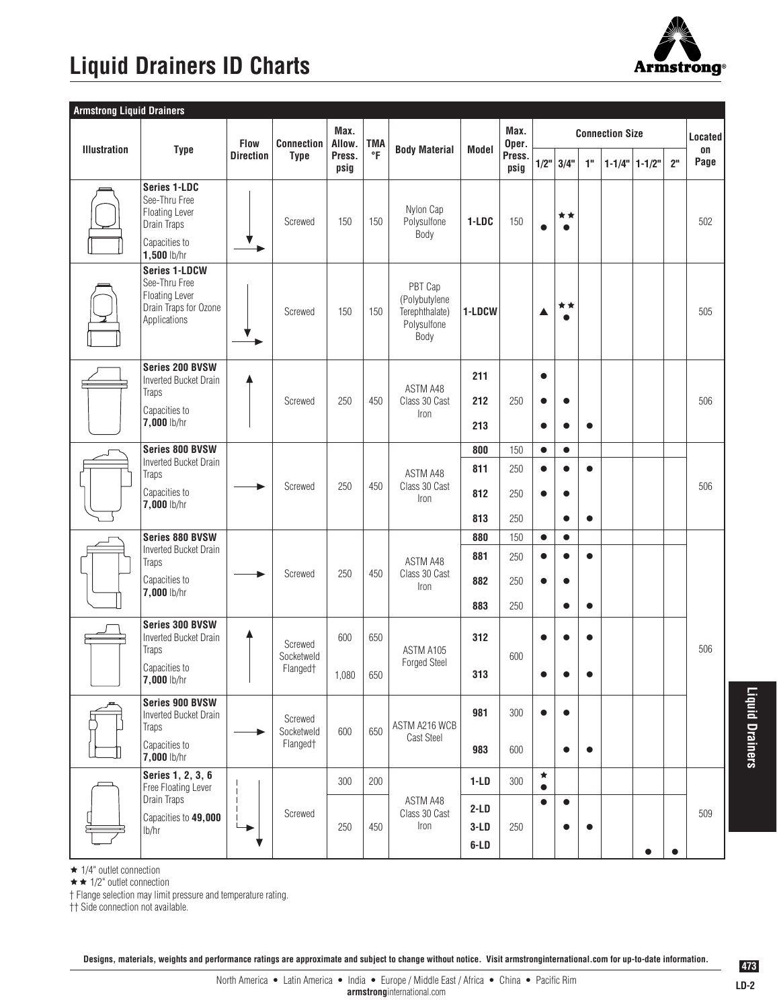## **Liquid Drainers ID Charts**



| <b>Armstrong Liquid Drainers</b> |                                                                                                         |                                 |                                               |                                  |                         |                                                                   |                                       |                          |                                     |                                                  |                        |                   |                |            |
|----------------------------------|---------------------------------------------------------------------------------------------------------|---------------------------------|-----------------------------------------------|----------------------------------|-------------------------|-------------------------------------------------------------------|---------------------------------------|--------------------------|-------------------------------------|--------------------------------------------------|------------------------|-------------------|----------------|------------|
|                                  |                                                                                                         | <b>Flow</b><br><b>Direction</b> | Connection<br><b>Type</b>                     | Max.<br>Allow.<br>Press.<br>psig | <b>TMA</b><br>$\circ$ F |                                                                   |                                       | Max.                     |                                     | <b>Located</b>                                   |                        |                   |                |            |
| <b>Illustration</b>              | <b>Type</b>                                                                                             |                                 |                                               |                                  |                         | <b>Body Material</b>                                              | Model                                 | Oper.<br>Press.<br>psig  | 1/2"                                | 3/4"                                             | $10$                   | $1 - 1/4"$ 1-1/2" | 2 <sup>n</sup> | on<br>Page |
|                                  | Series 1-LDC<br>See-Thru Free<br><b>Floating Lever</b><br>Drain Traps<br>Capacities to<br>$1,500$ lb/hr |                                 | Screwed                                       | 150                              | 150                     | Nylon Cap<br>Polysulfone<br>Body                                  | 1-LDC                                 | 150                      |                                     | **                                               |                        |                   |                | 502        |
|                                  | <b>Series 1-LDCW</b><br>See-Thru Free<br><b>Floating Lever</b><br>Drain Traps for Ozone<br>Applications |                                 | Screwed                                       | 150                              | 150                     | PBT Cap<br>(Polybutylene<br>Terephthalate)<br>Polysulfone<br>Body | 1-LDCW                                |                          | ▲                                   | * *<br>$\bullet$                                 |                        |                   |                | 505        |
|                                  | Series 200 BVSW<br>Inverted Bucket Drain<br>Traps<br>Capacities to<br>7,000 lb/hr                       |                                 | Screwed                                       | 250                              | 450                     | ASTM A48<br>Class 30 Cast<br>Iron                                 | 211<br>212<br>213                     | 250                      | $\bullet$<br>$\bullet$<br>$\bullet$ | $\bullet$<br>$\bullet$                           | $\bullet$              |                   |                | 506        |
|                                  | Series 800 BVSW<br><b>Inverted Bucket Drain</b><br>Traps<br>Capacities to<br>$7,000$ lb/hr              |                                 | Screwed                                       | 250                              | 450                     | ASTM A48<br>Class 30 Cast<br>Iron                                 | 800<br>811<br>812<br>813              | 150<br>250<br>250<br>250 | $\bullet$<br>$\bullet$<br>$\bullet$ | $\bullet$<br>$\bullet$<br>$\bullet$<br>$\bullet$ | $\bullet$<br>$\bullet$ |                   |                | 506        |
|                                  | <b>Series 880 BVSW</b><br>Inverted Bucket Drain<br><b>Traps</b><br>Capacities to<br>7,000 lb/hr         |                                 | Screwed                                       | 250                              | 450                     | ASTM A48<br>Class 30 Cast<br>Iron                                 | 880<br>881<br>882<br>883              | 150<br>250<br>250<br>250 | $\bullet$<br>$\bullet$<br>$\bullet$ | $\bullet$<br>$\bullet$<br>$\bullet$<br>$\bullet$ | $\bullet$<br>$\bullet$ |                   |                |            |
|                                  | Series 300 BVSW<br><b>Inverted Bucket Drain</b><br>Traps<br>Capacities to<br>7,000 lb/hr                |                                 | Screwed<br>Socketweld<br>Flanged†             | 600<br>1,080                     | 650<br>650              | ASTM A105<br>Forged Steel                                         | 312<br>313                            | 600                      | $\bullet$<br>$\bullet$              | $\bullet$<br>$\bullet$                           | ●                      |                   |                | 506        |
|                                  | Series 900 BVSW<br>Inverted Bucket Drain<br>Traps<br>Capacities to<br>7,000 lb/hr                       |                                 | Screwed<br>Socketweld<br>Flanged <sup>+</sup> | 600                              | 650                     | ASTM A216 WCB<br>Cast Steel                                       | 981<br>983                            | 300<br>600               | $\bullet$                           | $\bullet$<br>$\bullet$                           | $\bullet$              |                   |                |            |
|                                  | Series 1, 2, 3, 6<br>Free Floating Lever<br>Drain Traps<br>Capacities to 49,000<br>lb/hr                | ▸                               | Screwed                                       | 300<br>250                       | 200<br>450              | ASTM A48<br>Class 30 Cast<br>Iron                                 | $1-LD$<br>$2-LD$<br>$3-LD$<br>$6$ -LD | 300<br>250               | $\star$<br>$\bullet$<br>$\bullet$   | $\bullet$<br>$\bullet$                           | $\bullet$              |                   |                | 509        |

 $\star$  1/4" outlet connection

 $\star \star$  1/2" outlet connection

† Flange selection may limit pressure and temperature rating.

†† Side connection not available.

**Designs, materials, weights and performance ratings are approximate and subject to change without notice. Visit armstronginternational.com for up-to-date information.**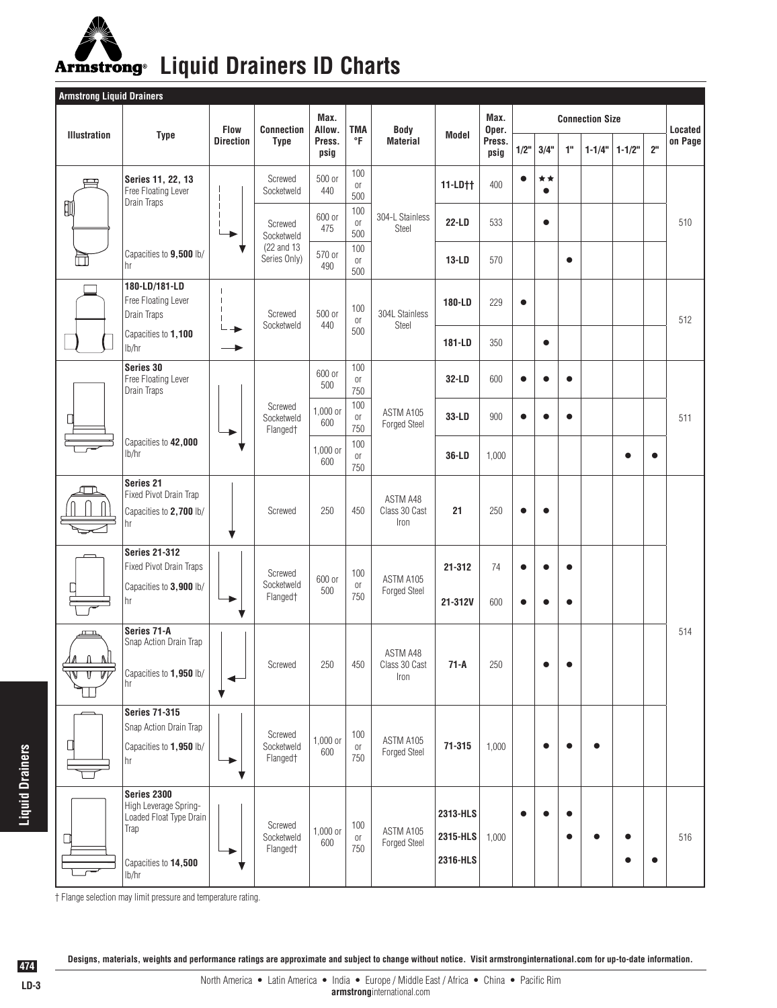## Armstrong<sup>®</sup> Liquid Drainers ID Charts

| <b>Armstrong Liquid Drainers</b> |                                                                                                          |                                 |                                   |                                  |                              |                                   |                                  |                                 |           |                 |           |            |            |                |         |
|----------------------------------|----------------------------------------------------------------------------------------------------------|---------------------------------|-----------------------------------|----------------------------------|------------------------------|-----------------------------------|----------------------------------|---------------------------------|-----------|-----------------|-----------|------------|------------|----------------|---------|
|                                  |                                                                                                          | <b>Flow</b><br><b>Direction</b> | <b>Connection</b><br><b>Type</b>  | Max.<br>Allow.<br>Press.<br>psig | <b>TMA</b><br>°F             | Body<br><b>Material</b>           | Model                            | Max.<br>Oper.<br>Press.<br>psig |           | Located         |           |            |            |                |         |
| <b>Illustration</b>              | <b>Type</b>                                                                                              |                                 |                                   |                                  |                              |                                   |                                  |                                 | 1/2"      | 3/4"            | 1"        | $1 - 1/4"$ | $1 - 1/2"$ | 2 <sup>n</sup> | on Page |
| $\mathbf{\equiv}$                | Series 11, 22, 13<br>Free Floating Lever                                                                 |                                 | Screwed<br>Socketweld             | 500 or<br>440                    | 100<br>0ľ<br>500             |                                   | 11-LD††                          | 400                             |           | **<br>$\bullet$ |           |            |            |                |         |
| 踂                                | Drain Traps                                                                                              |                                 | Screwed<br>Socketweld             | 600 or<br>475                    | 100<br>0r<br>500             | 304-L Stainless<br>Steel          | 22-LD                            | 533                             |           | $\bullet$       |           |            |            |                | 510     |
|                                  | Capacities to 9,500 lb/<br>hr                                                                            |                                 | (22 and 13)<br>Series Only)       | 570 or<br>490                    | 100<br>O <sub>1</sub><br>500 |                                   | <b>13-LD</b>                     | 570                             |           |                 | $\bullet$ |            |            |                |         |
|                                  | 180-LD/181-LD<br>Free Floating Lever<br>Drain Traps                                                      |                                 | Screwed                           | 500 or<br>440                    | 100<br>0ľ<br>500             | 304L Stainless<br>Steel           | 180-LD                           | 229                             | $\bullet$ |                 |           |            |            |                | 512     |
|                                  | Capacities to 1,100<br>lb/hr                                                                             |                                 | Socketweld                        |                                  |                              |                                   | 181-LD                           | 350                             |           | $\bullet$       |           |            |            |                |         |
|                                  | Series 30<br>Free Floating Lever<br>Drain Traps                                                          |                                 |                                   | 600 or<br>500                    | 100<br>0ľ<br>750             |                                   | 32-LD                            | 600                             | ●         | $\bullet$       | $\bullet$ |            |            |                |         |
|                                  |                                                                                                          |                                 | Screwed<br>Socketweld<br>Flanged† | 1,000 or<br>600                  | 100<br>0r<br>750             | ASTM A105<br><b>Forged Steel</b>  | 33-LD                            | 900                             |           | $\bullet$       | $\bullet$ |            |            |                | 511     |
|                                  | Capacities to 42,000<br>lb/hr                                                                            |                                 |                                   | 1,000 or<br>600                  | 100<br>0ľ<br>750             |                                   | 36-LD                            | 1,000                           |           |                 |           |            |            | $\bullet$      |         |
|                                  | Series 21<br>Fixed Pivot Drain Trap<br>Capacities to 2,700 lb/<br>hr                                     |                                 | Screwed                           | 250                              | 450                          | ASTM A48<br>Class 30 Cast<br>Iron | 21                               | 250                             | $\bullet$ | $\bullet$       |           |            |            |                |         |
|                                  | <b>Series 21-312</b><br><b>Fixed Pivot Drain Traps</b>                                                   |                                 | Screwed                           | 600 or                           | 100                          | ASTM A105                         | 21-312                           | 74                              | $\bullet$ | $\bullet$       | $\bullet$ |            |            |                |         |
|                                  | Capacities to 3,900 lb/<br>hr                                                                            |                                 | Socketweld<br>Flanged†            | 500                              | 0ľ<br>750                    | Forged Steel                      | 21-312V                          | 600                             | ●         | $\bullet$       | $\bullet$ |            |            |                |         |
| $\mathbf{u}$<br>1Л<br>- N        | Series 71-A<br>Snap Action Drain Trap                                                                    |                                 |                                   |                                  |                              | ASTM A48<br>Class 30 Cast<br>Iron |                                  |                                 |           |                 |           |            |            |                | 514     |
| π                                | Capacities to 1,950 lb/<br>hr                                                                            |                                 | Screwed                           | 250                              | 450                          |                                   | $71-A$                           | 250                             |           | $\bullet$       |           |            |            |                |         |
|                                  | <b>Series 71-315</b><br>Snap Action Drain Trap                                                           |                                 | Screwed                           |                                  | 100                          |                                   |                                  |                                 |           |                 |           |            |            |                |         |
| П                                | Capacities to 1,950 lb/<br>hr                                                                            |                                 | Socketweld<br>Flanged†            | 1,000 or<br>600                  | 0ľ<br>750                    | ASTM A105<br><b>Forged Steel</b>  | $71 - 315$                       | 1,000                           |           | $\bullet$       |           |            |            |                |         |
|                                  | Series 2300<br>High Leverage Spring-<br>Loaded Float Type Drain<br>Trap<br>Capacities to 14,500<br>lb/hr |                                 | Screwed<br>Socketweld<br>Flanged† | 1,000 or<br>600                  | 100<br>0ľ<br>750             | ASTM A105<br><b>Forged Steel</b>  | 2313-HLS<br>2315-HLS<br>2316-HLS | 1,000                           |           | $\bullet$       | ٠         |            |            | $\bullet$      | 516     |

† Flange selection may limit pressure and temperature rating.

**Designs, materials, weights and performance ratings are approximate and subject to change without notice. Visit armstronginternational.com for up-to-date information.**